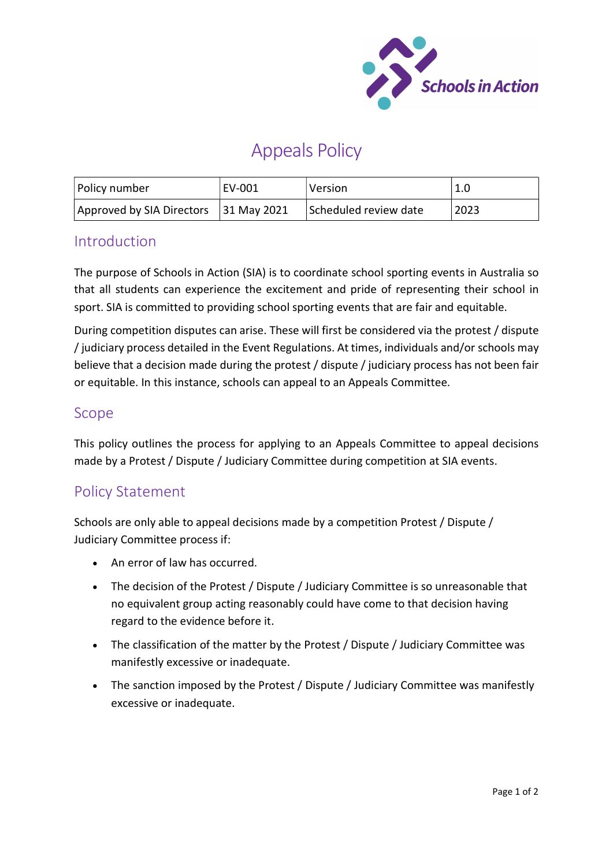

# Appeals Policy

| Policy number                         | EV-001 | Version               | 1.0  |
|---------------------------------------|--------|-----------------------|------|
| Approved by SIA Directors 31 May 2021 |        | Scheduled review date | 2023 |

#### Introduction

The purpose of Schools in Action (SIA) is to coordinate school sporting events in Australia so that all students can experience the excitement and pride of representing their school in sport. SIA is committed to providing school sporting events that are fair and equitable.

During competition disputes can arise. These will first be considered via the protest / dispute / judiciary process detailed in the Event Regulations. At times, individuals and/or schools may believe that a decision made during the protest / dispute / judiciary process has not been fair or equitable. In this instance, schools can appeal to an Appeals Committee.

#### Scope

This policy outlines the process for applying to an Appeals Committee to appeal decisions made by a Protest / Dispute / Judiciary Committee during competition at SIA events.

### Policy Statement

Schools are only able to appeal decisions made by a competition Protest / Dispute / Judiciary Committee process if:

- An error of law has occurred.
- The decision of the Protest / Dispute / Judiciary Committee is so unreasonable that no equivalent group acting reasonably could have come to that decision having regard to the evidence before it.
- The classification of the matter by the Protest / Dispute / Judiciary Committee was manifestly excessive or inadequate.
- The sanction imposed by the Protest / Dispute / Judiciary Committee was manifestly excessive or inadequate.